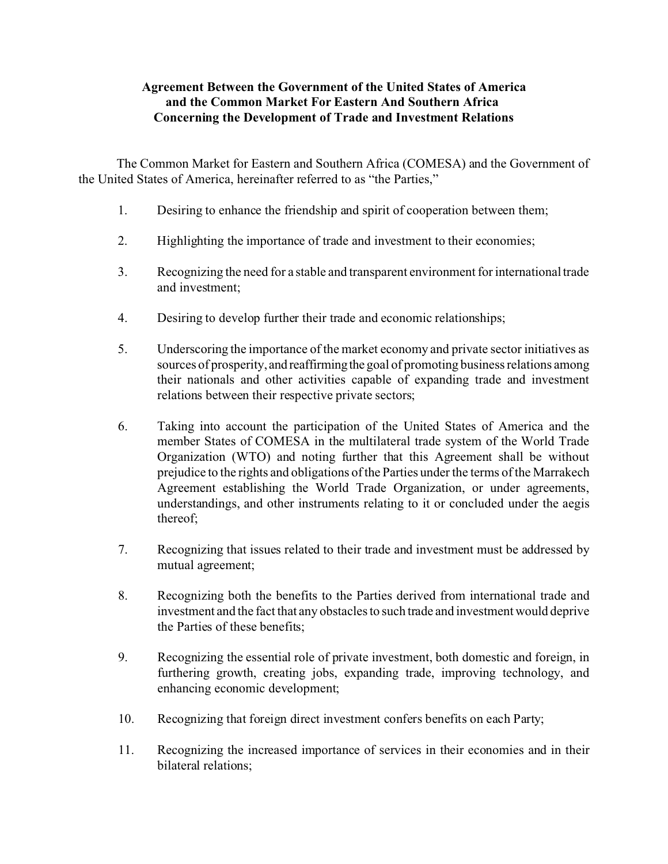# **Agreement Between the Government of the United States of America and the Common Market For Eastern And Southern Africa Concerning the Development of Trade and Investment Relations**

 The Common Market for Eastern and Southern Africa (COMESA) and the Government of the United States of America, hereinafter referred to as "the Parties,"

- 1. Desiring to enhance the friendship and spirit of cooperation between them;
- 2. Highlighting the importance of trade and investment to their economies;
- 3. Recognizing the need for a stable and transparent environment for international trade and investment;
- 4. Desiring to develop further their trade and economic relationships;
- 5. Underscoring the importance of the market economy and private sector initiatives as sources of prosperity, and reaffirming the goal of promoting business relations among their nationals and other activities capable of expanding trade and investment relations between their respective private sectors;
- 6. Taking into account the participation of the United States of America and the member States of COMESA in the multilateral trade system of the World Trade Organization (WTO) and noting further that this Agreement shall be without prejudice to the rights and obligations of the Parties under the terms of the Marrakech Agreement establishing the World Trade Organization, or under agreements, understandings, and other instruments relating to it or concluded under the aegis thereof;
- 7. Recognizing that issues related to their trade and investment must be addressed by mutual agreement;
- 8. Recognizing both the benefits to the Parties derived from international trade and investment and the fact that any obstacles to such trade and investment would deprive the Parties of these benefits;
- 9. Recognizing the essential role of private investment, both domestic and foreign, in furthering growth, creating jobs, expanding trade, improving technology, and enhancing economic development;
- 10. Recognizing that foreign direct investment confers benefits on each Party;
- 11. Recognizing the increased importance of services in their economies and in their bilateral relations;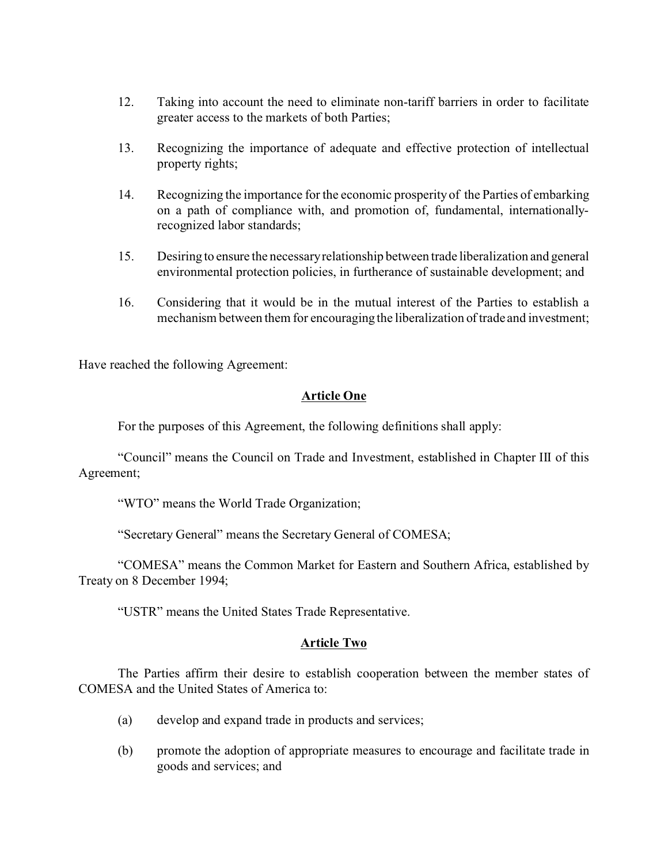- 12. Taking into account the need to eliminate non-tariff barriers in order to facilitate greater access to the markets of both Parties;
- 13. Recognizing the importance of adequate and effective protection of intellectual property rights;
- 14. Recognizing the importance for the economic prosperity of the Parties of embarking on a path of compliance with, and promotion of, fundamental, internationallyrecognized labor standards;
- 15. Desiring to ensure the necessary relationship between trade liberalization and general environmental protection policies, in furtherance of sustainable development; and
- 16. Considering that it would be in the mutual interest of the Parties to establish a mechanism between them for encouraging the liberalization of trade and investment;

Have reached the following Agreement:

### **Article One**

For the purposes of this Agreement, the following definitions shall apply:

"Council" means the Council on Trade and Investment, established in Chapter III of this Agreement;

"WTO" means the World Trade Organization;

"Secretary General" means the Secretary General of COMESA;

"COMESA" means the Common Market for Eastern and Southern Africa, established by Treaty on 8 December 1994;

"USTR" means the United States Trade Representative.

#### **Article Two**

The Parties affirm their desire to establish cooperation between the member states of COMESA and the United States of America to:

- (a) develop and expand trade in products and services;
- (b) promote the adoption of appropriate measures to encourage and facilitate trade in goods and services; and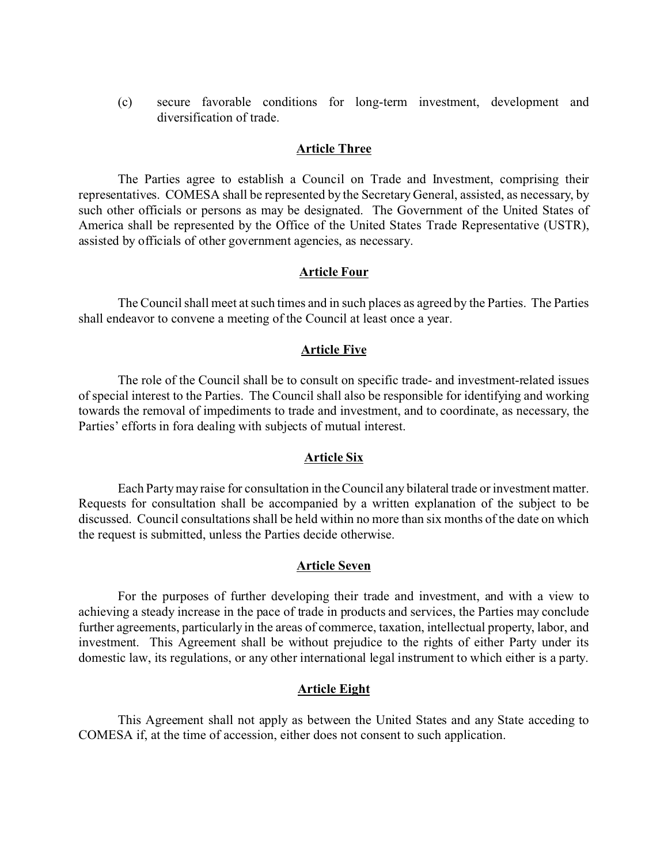(c) secure favorable conditions for long-term investment, development and diversification of trade.

#### **Article Three**

The Parties agree to establish a Council on Trade and Investment, comprising their representatives. COMESA shall be represented by the Secretary General, assisted, as necessary, by such other officials or persons as may be designated. The Government of the United States of America shall be represented by the Office of the United States Trade Representative (USTR), assisted by officials of other government agencies, as necessary.

### **Article Four**

The Council shall meet at such times and in such places as agreed by the Parties. The Parties shall endeavor to convene a meeting of the Council at least once a year.

### **Article Five**

The role of the Council shall be to consult on specific trade- and investment-related issues of special interest to the Parties. The Council shall also be responsible for identifying and working towards the removal of impediments to trade and investment, and to coordinate, as necessary, the Parties' efforts in fora dealing with subjects of mutual interest.

#### **Article Six**

Each Party may raise for consultation in the Council any bilateral trade or investment matter. Requests for consultation shall be accompanied by a written explanation of the subject to be discussed. Council consultations shall be held within no more than six months of the date on which the request is submitted, unless the Parties decide otherwise.

#### **Article Seven**

For the purposes of further developing their trade and investment, and with a view to achieving a steady increase in the pace of trade in products and services, the Parties may conclude further agreements, particularly in the areas of commerce, taxation, intellectual property, labor, and investment. This Agreement shall be without prejudice to the rights of either Party under its domestic law, its regulations, or any other international legal instrument to which either is a party.

# **Article Eight**

This Agreement shall not apply as between the United States and any State acceding to COMESA if, at the time of accession, either does not consent to such application.